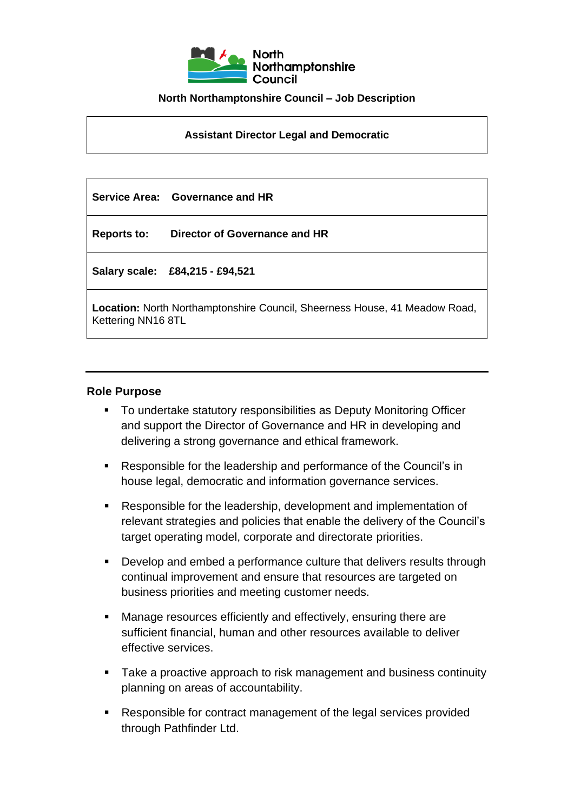

#### **North Northamptonshire Council – Job Description**

**Assistant Director Legal and Democratic** 

|                                                                                                         | Service Area: Governance and HR |  |
|---------------------------------------------------------------------------------------------------------|---------------------------------|--|
| <b>Reports to:</b>                                                                                      | Director of Governance and HR   |  |
|                                                                                                         | Salary scale: £84,215 - £94,521 |  |
| <b>Location:</b> North Northamptonshire Council, Sheerness House, 41 Meadow Road,<br>Kettering NN16 8TL |                                 |  |

#### **Role Purpose**

- To undertake statutory responsibilities as Deputy Monitoring Officer and support the Director of Governance and HR in developing and delivering a strong governance and ethical framework.
- Responsible for the leadership and performance of the Council's in house legal, democratic and information governance services.
- Responsible for the leadership, development and implementation of relevant strategies and policies that enable the delivery of the Council's target operating model, corporate and directorate priorities.
- Develop and embed a performance culture that delivers results through continual improvement and ensure that resources are targeted on business priorities and meeting customer needs.
- Manage resources efficiently and effectively, ensuring there are sufficient financial, human and other resources available to deliver effective services.
- Take a proactive approach to risk management and business continuity planning on areas of accountability.
- Responsible for contract management of the legal services provided through Pathfinder Ltd.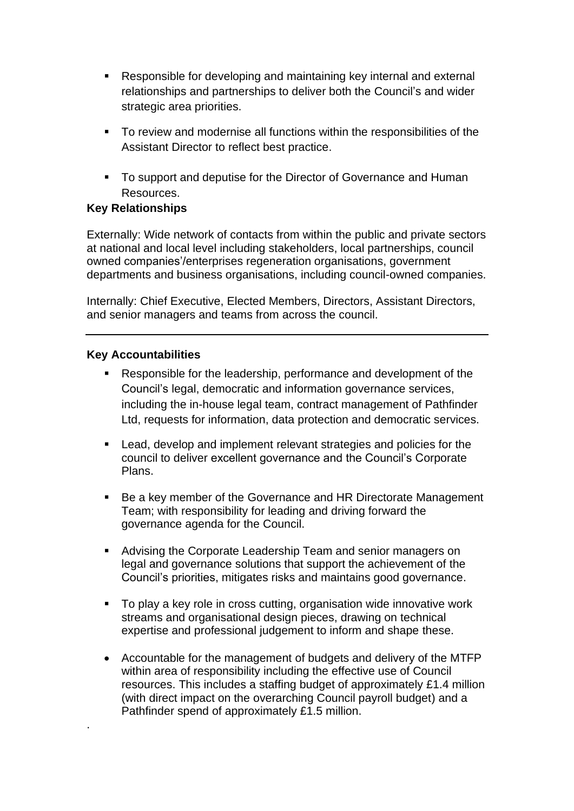- Responsible for developing and maintaining key internal and external relationships and partnerships to deliver both the Council's and wider strategic area priorities.
- To review and modernise all functions within the responsibilities of the Assistant Director to reflect best practice.
- To support and deputise for the Director of Governance and Human Resources.

## **Key Relationships**

Externally: Wide network of contacts from within the public and private sectors at national and local level including stakeholders, local partnerships, council owned companies'/enterprises regeneration organisations, government departments and business organisations, including council-owned companies.

Internally: Chief Executive, Elected Members, Directors, Assistant Directors, and senior managers and teams from across the council.

### **Key Accountabilities**

.

- Responsible for the leadership, performance and development of the Council's legal, democratic and information governance services, including the in-house legal team, contract management of Pathfinder Ltd, requests for information, data protection and democratic services.
- Lead, develop and implement relevant strategies and policies for the council to deliver excellent governance and the Council's Corporate Plans.
- Be a key member of the Governance and HR Directorate Management Team; with responsibility for leading and driving forward the governance agenda for the Council.
- Advising the Corporate Leadership Team and senior managers on legal and governance solutions that support the achievement of the Council's priorities, mitigates risks and maintains good governance.
- To play a key role in cross cutting, organisation wide innovative work streams and organisational design pieces, drawing on technical expertise and professional judgement to inform and shape these.
- Accountable for the management of budgets and delivery of the MTFP within area of responsibility including the effective use of Council resources. This includes a staffing budget of approximately £1.4 million (with direct impact on the overarching Council payroll budget) and a Pathfinder spend of approximately £1.5 million.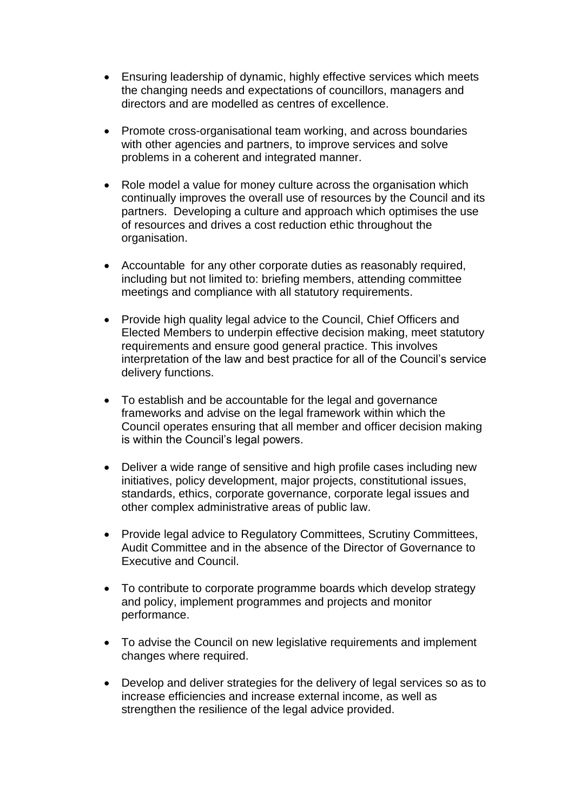- Ensuring leadership of dynamic, highly effective services which meets the changing needs and expectations of councillors, managers and directors and are modelled as centres of excellence.
- Promote cross-organisational team working, and across boundaries with other agencies and partners, to improve services and solve problems in a coherent and integrated manner.
- Role model a value for money culture across the organisation which continually improves the overall use of resources by the Council and its partners. Developing a culture and approach which optimises the use of resources and drives a cost reduction ethic throughout the organisation.
- Accountable for any other corporate duties as reasonably required, including but not limited to: briefing members, attending committee meetings and compliance with all statutory requirements.
- Provide high quality legal advice to the Council, Chief Officers and Elected Members to underpin effective decision making, meet statutory requirements and ensure good general practice. This involves interpretation of the law and best practice for all of the Council's service delivery functions.
- To establish and be accountable for the legal and governance frameworks and advise on the legal framework within which the Council operates ensuring that all member and officer decision making is within the Council's legal powers.
- Deliver a wide range of sensitive and high profile cases including new initiatives, policy development, major projects, constitutional issues, standards, ethics, corporate governance, corporate legal issues and other complex administrative areas of public law.
- Provide legal advice to Regulatory Committees, Scrutiny Committees, Audit Committee and in the absence of the Director of Governance to Executive and Council.
- To contribute to corporate programme boards which develop strategy and policy, implement programmes and projects and monitor performance.
- To advise the Council on new legislative requirements and implement changes where required.
- Develop and deliver strategies for the delivery of legal services so as to increase efficiencies and increase external income, as well as strengthen the resilience of the legal advice provided.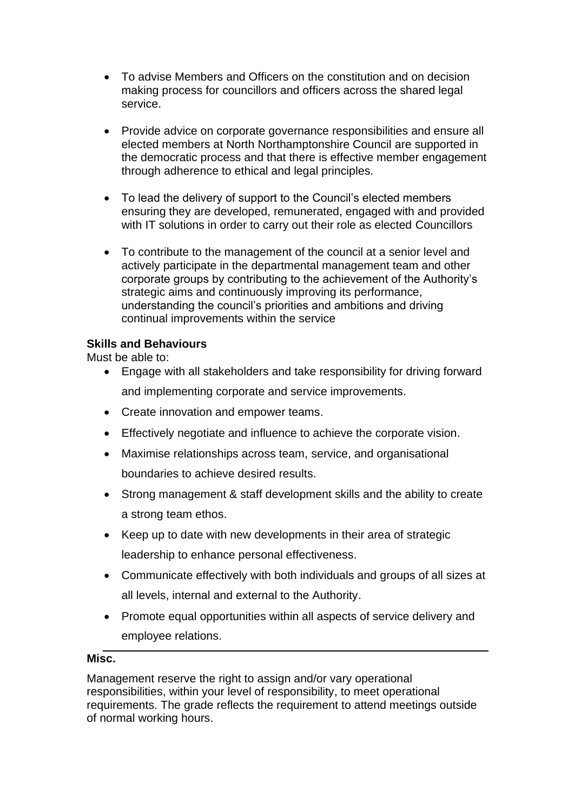- To advise Members and Officers on the constitution and on decision making process for councillors and officers across the shared legal service.
- Provide advice on corporate governance responsibilities and ensure all elected members at North Northamptonshire Council are supported in the democratic process and that there is effective member engagement through adherence to ethical and legal principles.
- To lead the delivery of support to the Council's elected members ensuring they are developed, remunerated, engaged with and provided with IT solutions in order to carry out their role as elected Councillors
- To contribute to the management of the council at a senior level and actively participate in the departmental management team and other corporate groups by contributing to the achievement of the Authority's strategic aims and continuously improving its performance, understanding the council's priorities and ambitions and driving continual improvements within the service

# **Skills and Behaviours**

Must be able to:

- Engage with all stakeholders and take responsibility for driving forward and implementing corporate and service improvements.
- Create innovation and empower teams.
- Effectively negotiate and influence to achieve the corporate vision.
- Maximise relationships across team, service, and organisational boundaries to achieve desired results.
- Strong management & staff development skills and the ability to create a strong team ethos.
- Keep up to date with new developments in their area of strategic leadership to enhance personal effectiveness.
- Communicate effectively with both individuals and groups of all sizes at all levels, internal and external to the Authority.
- Promote equal opportunities within all aspects of service delivery and employee relations.

### **Misc.**

Management reserve the right to assign and/or vary operational responsibilities, within your level of responsibility, to meet operational requirements. The grade reflects the requirement to attend meetings outside of normal working hours.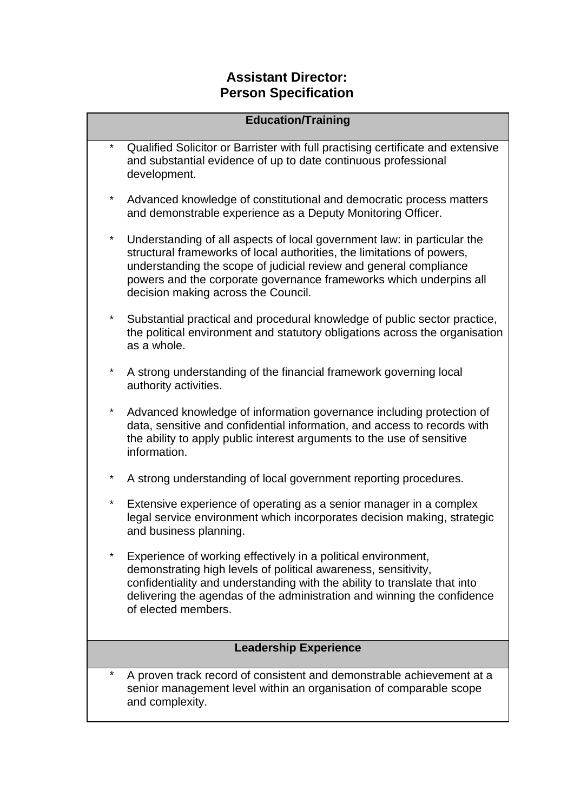# **Assistant Director: Person Specification**

| <b>Education/Training</b>    |                                                                                                                                                                                                                                                                                                                                     |
|------------------------------|-------------------------------------------------------------------------------------------------------------------------------------------------------------------------------------------------------------------------------------------------------------------------------------------------------------------------------------|
|                              | Qualified Solicitor or Barrister with full practising certificate and extensive<br>and substantial evidence of up to date continuous professional<br>development.                                                                                                                                                                   |
| $\star$                      | Advanced knowledge of constitutional and democratic process matters<br>and demonstrable experience as a Deputy Monitoring Officer.                                                                                                                                                                                                  |
| $^\star$                     | Understanding of all aspects of local government law: in particular the<br>structural frameworks of local authorities, the limitations of powers,<br>understanding the scope of judicial review and general compliance<br>powers and the corporate governance frameworks which underpins all<br>decision making across the Council. |
| $\star$                      | Substantial practical and procedural knowledge of public sector practice,<br>the political environment and statutory obligations across the organisation<br>as a whole.                                                                                                                                                             |
| $^\star$                     | A strong understanding of the financial framework governing local<br>authority activities.                                                                                                                                                                                                                                          |
| $^\star$                     | Advanced knowledge of information governance including protection of<br>data, sensitive and confidential information, and access to records with<br>the ability to apply public interest arguments to the use of sensitive<br>information.                                                                                          |
| $^\star$                     | A strong understanding of local government reporting procedures.                                                                                                                                                                                                                                                                    |
| $^\star$                     | Extensive experience of operating as a senior manager in a complex<br>legal service environment which incorporates decision making, strategic<br>and business planning.                                                                                                                                                             |
| $\star$                      | Experience of working effectively in a political environment,<br>demonstrating high levels of political awareness, sensitivity,<br>confidentiality and understanding with the ability to translate that into<br>delivering the agendas of the administration and winning the confidence<br>of elected members.                      |
| <b>Leadership Experience</b> |                                                                                                                                                                                                                                                                                                                                     |
| *                            | A proven track record of consistent and demonstrable achievement at a<br>senior management level within an organisation of comparable scope<br>and complexity.                                                                                                                                                                      |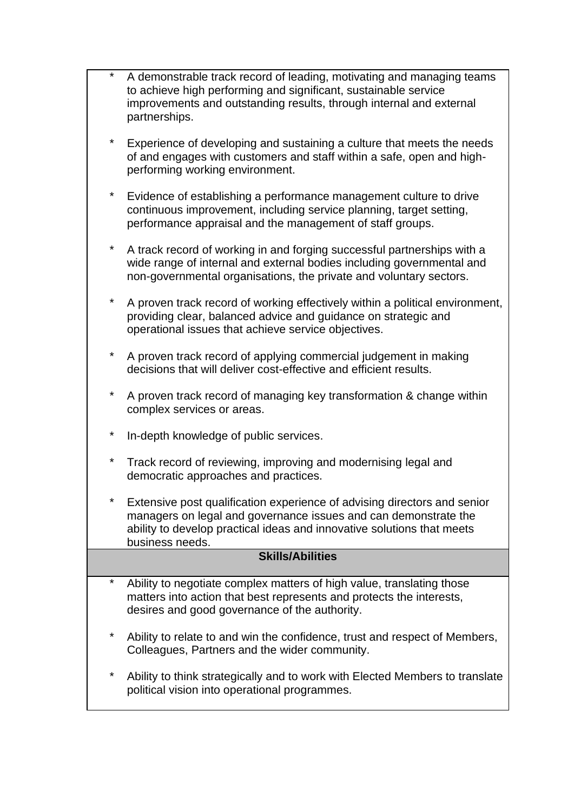|                         | A demonstrable track record of leading, motivating and managing teams<br>to achieve high performing and significant, sustainable service<br>improvements and outstanding results, through internal and external<br>partnerships.         |  |
|-------------------------|------------------------------------------------------------------------------------------------------------------------------------------------------------------------------------------------------------------------------------------|--|
| *                       | Experience of developing and sustaining a culture that meets the needs<br>of and engages with customers and staff within a safe, open and high-<br>performing working environment.                                                       |  |
| *                       | Evidence of establishing a performance management culture to drive<br>continuous improvement, including service planning, target setting,<br>performance appraisal and the management of staff groups.                                   |  |
| *                       | A track record of working in and forging successful partnerships with a<br>wide range of internal and external bodies including governmental and<br>non-governmental organisations, the private and voluntary sectors.                   |  |
| *                       | A proven track record of working effectively within a political environment,<br>providing clear, balanced advice and guidance on strategic and<br>operational issues that achieve service objectives.                                    |  |
| *                       | A proven track record of applying commercial judgement in making<br>decisions that will deliver cost-effective and efficient results.                                                                                                    |  |
| *                       | A proven track record of managing key transformation & change within<br>complex services or areas.                                                                                                                                       |  |
| *                       | In-depth knowledge of public services.                                                                                                                                                                                                   |  |
| *                       | Track record of reviewing, improving and modernising legal and<br>democratic approaches and practices.                                                                                                                                   |  |
|                         | Extensive post qualification experience of advising directors and senior<br>managers on legal and governance issues and can demonstrate the<br>ability to develop practical ideas and innovative solutions that meets<br>business needs. |  |
| <b>Skills/Abilities</b> |                                                                                                                                                                                                                                          |  |
| *                       | Ability to negotiate complex matters of high value, translating those<br>matters into action that best represents and protects the interests,<br>desires and good governance of the authority.                                           |  |
| *                       | Ability to relate to and win the confidence, trust and respect of Members,<br>Colleagues, Partners and the wider community.                                                                                                              |  |
| *                       | Ability to think strategically and to work with Elected Members to translate<br>political vision into operational programmes.                                                                                                            |  |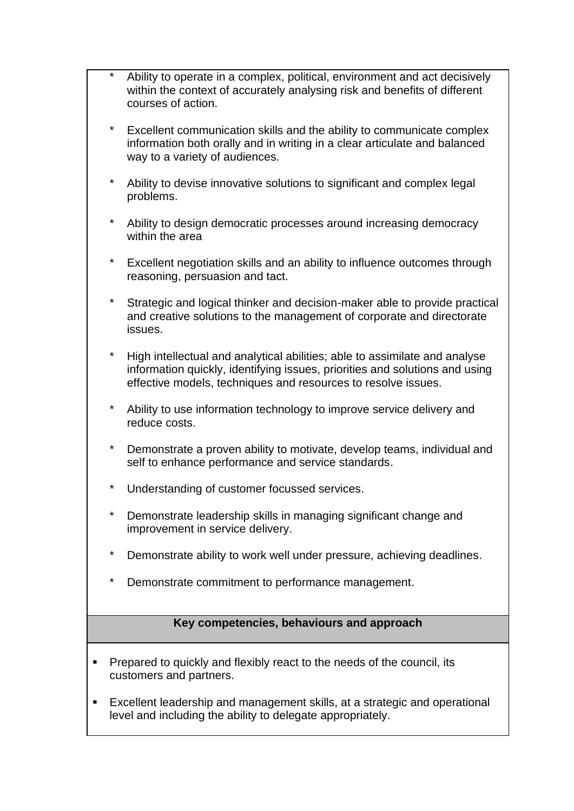- Ability to operate in a complex, political, environment and act decisively within the context of accurately analysing risk and benefits of different courses of action.
- Excellent communication skills and the ability to communicate complex information both orally and in writing in a clear articulate and balanced way to a variety of audiences.
- Ability to devise innovative solutions to significant and complex legal problems.
- Ability to design democratic processes around increasing democracy within the area
- Excellent negotiation skills and an ability to influence outcomes through reasoning, persuasion and tact.
- Strategic and logical thinker and decision-maker able to provide practical and creative solutions to the management of corporate and directorate issues.
- High intellectual and analytical abilities; able to assimilate and analyse information quickly, identifying issues, priorities and solutions and using effective models, techniques and resources to resolve issues.
- Ability to use information technology to improve service delivery and reduce costs.
- Demonstrate a proven ability to motivate, develop teams, individual and self to enhance performance and service standards.
- Understanding of customer focussed services.
- Demonstrate leadership skills in managing significant change and improvement in service delivery.
- Demonstrate ability to work well under pressure, achieving deadlines.
- Demonstrate commitment to performance management.

# **Key competencies, behaviours and approach**

- Prepared to quickly and flexibly react to the needs of the council, its customers and partners.
- Excellent leadership and management skills, at a strategic and operational level and including the ability to delegate appropriately.